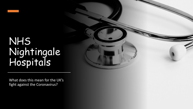# NHS Nightingale Hospitals

What does this mean for the UK's fight against the Coronavirus?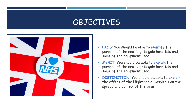# **OBJECTIVES**



- **PASS**: You should be able to **identify** the purpose of the new Nightingale hospitals and some of the equipment used.
- **MERIT**: You should be able to **explain** the purpose of the new Nightingale hospitals and some of the equipment used.
- **DISTINCTION**: You should be able to **explain** the effect of the Nightingale Hospitals on the spread and control of the virus.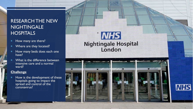### RESEARCH THE NEW **NIGHTINGALE HOSPITALS**

- How many are there?
- Where are they located?
- How many beds does each one have?
- What is the difference between intensive care and a normal ward?

#### **Challenge**

How is the development of these hospitals going to impact the spread and control of the coronavirus?

# **NHS** Nightingale Hospital<br>London



**NHS**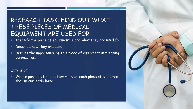## RESEARCH TASK: FIND OUT WHAT THESE PIECES OF MEDICAL EQUIPMENT ARE USED FOR.

- Identify the piece of equipment is and what they are used for.
- **Describe how they are used.**
- **Discuss the importance of this piece of equipment in treating** coronavirus.

#### Extension:

 Where possible find out how many of each piece of equipment the UK currently has?

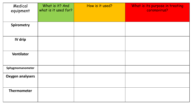| Medical<br>equipment    | What is it? And<br>what is it used for? | How is it used? | What is its purpose in treating<br>coronavirus? |
|-------------------------|-----------------------------------------|-----------------|-------------------------------------------------|
| <b>Spirometry</b>       |                                         |                 |                                                 |
| IV drip                 |                                         |                 |                                                 |
| <b>Ventilator</b>       |                                         |                 |                                                 |
| Sphygmomanometer        |                                         |                 |                                                 |
| <b>Oxygen analysers</b> |                                         |                 |                                                 |
| <b>Thermometer</b>      |                                         |                 |                                                 |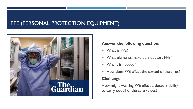## PPE (PERSONAL PROTECTION EQUIPMENT)



#### **Answer the following question:**

- What is PPE?
- **Notable 19 Millon What elements make up a doctors PPE?**
- Why is it needed?
- How does PPE effect the spread of the virus?

#### **Challenge:**

How might wearing PPE effect a doctors ability to carry out all of the care values?